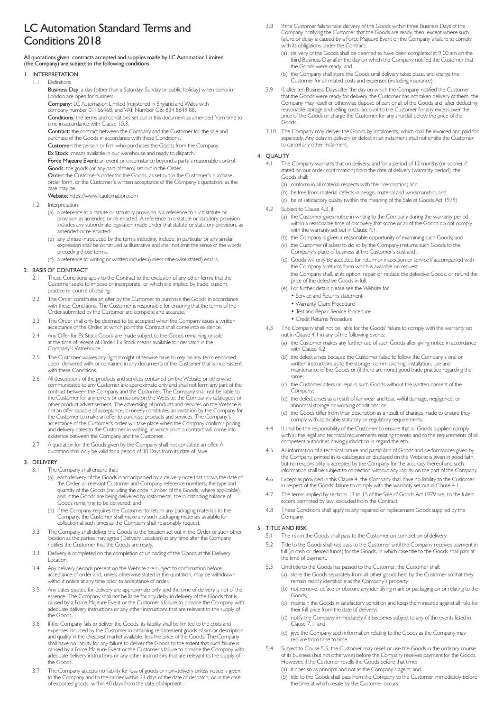# LC Automation Standard Terms and Conditions 2018

All quotations given, contracts accepted and supplies made by LC Automation Limited (the Company) are subject to the following conditions.

- 1. INTERPRETATION
- 1.1 Definitions
	- Business Day: a day (other than a Saturday, Sunday or public holiday) when banks in London are open for business
- **Company:** LC Automation Limited (registered in England and Wales with<br>company number 01166468, and VAT Number GB: 834 8649 88.

Conditions: the terms and conditions set out in this document as amended from time to

time in accordance with Clause 10.3. Contract: the contract between the Company and the Customer for the sale and

purchase of the Goods in accordance with these Conditions.

Customer: the person or firm who purchases the Goods from the Company.

Ex Stock: means available in our warehouse and ready to dispatch.

Force Majeure Event: an event or circumstance beyond a party's reasonable control. Goods: the goods (or any part of them) set out in the Order.

 Order: the Customer's order for the Goods, as set out in the Customer's purchase order form, or the Customer's written acceptance of the Company's quotation, as the case may be.

Website: https://www.lcautomation.com

- 1.2 Interpretation
	- (a) a reference to a statute or statutory provision is a reference to such statute or provision as amended or re-enacted. A reference to a statute or statutory provision includes any subordinate legislation made under that statute or statutory provision, as amended or re-enacted.
	- (b) any phrase introduced by the terms including, include, in particular or any similar expression shall be construed as illustrative and shall not limit the sense of the words preceding those terms.
	- (c) a reference to writing or written includes (unless otherwise stated) emails.

## 2. BASIS OF CONTRACT

- 2.1 These Conditions apply to the Contract to the exclusion of any other terms that the Customer seeks to impose or incorporate, or which are implied by trade, custom, practice or course of dealing.
- 2.2 The Order constitutes an offer by the Customer to purchase the Goods in accordance with these Conditions. The Customer is responsible for ensuring that the terms of the Order submitted by the Customer are complete and accurate.
- 2.3 The Order shall only be deemed to be accepted when the Company issues a written acceptance of the Order, at which point the Contract shall come into existence.
- 2.4 Any Offer for Ex Stock Goods are made subject to the Goods remaining unsold at the time of receipt of Order. Ex Stock means available for despatch in the Company's Warehouse.
- 2.5 The Customer waives any right it might otherwise have to rely on any term endorsed upon, delivered with or contained in any documents of the Customer that is inconsistent with these Conditions.
- 2.6 All descriptions of the products and services contained on the Website or otherwise communicated to any Customer are approximate only and shall not form any part of the contract between the Company and the Customer. The Company shall not be liable to the Customer for any errors or omissions on the Website, the Company's catalogues or other product advertisement. The advertising of products and services on the Website is not an offer capable of acceptance; it merely constitutes an invitation by the Company for the Customer to make an offer to purchase products and services. The Company's acceptance of the Customer's order will take place when the Company confirms pricing and delivery dates to the Customer in writing, at which point a contract will come into existence between the Company and the Customer.
- 2.7 A quotation for the Goods given by the Company shall not constitute an offer. A quotation shall only be valid for a period of 30 Days from its date of issue.

#### 3. DELIVERY

- 3.1 The Company shall ensure that:
	- (a) each delivery of the Goods is accompanied by a delivery note that shows the date of the Order, all relevant Customer and Company reference numbers, the type and quantity of the Goods (including the code number of the Goods, where applicable), and, if the Goods are being delivered by instalments, the outstanding balance of Goods remaining to be delivered; and
- (b) if the Company requires the Customer to return any packaging materials to the Company, the Customer shall make any such packaging materials available for collection at such times as the Company shall reasonably request.
	- 3.2 The Company shall deliver the Goods to the location set out in the Order or such other location as the parties may agree (Delivery Location) at any time after the Company notifies the Customer that the Goods are ready.
	- 3.3 Delivery is completed on the completion of unloading of the Goods at the Delivery Location.
	- 3.4 Any delivery periods present on the Website are subject to confirmation before acceptance of order and, unless otherwise stated in the quotation, may be withdrawn without notice at any time prior to acceptance of order.
	- 3.5 Any dates quoted for delivery are approximate only, and the time of delivery is not of the essence. The Company shall not be liable for any delay in delivery of the Goods that is caused by a Force Majeure Event or the Customer's failure to provide the Company with adequate delivery instructions or any other instructions that are relevant to the supply of the Goods.
	- 3.6 If the Company fails to deliver the Goods, its liability shall be limited to the costs and expenses incurred by the Customer in obtaining replacement goods of similar description and quality in the cheapest market available, less the price of the Goods. The Company shall have no liability for any failure to deliver the Goods to the extent that such failure is caused by a Force Majeure Event or the Customer's failure to provide the Company with adequate delivery instructions or any other instructions that are relevant to the supply of the Goods.
	- 3.7 The Company accepts no liability for loss of goods or non-delivery unless notice is given to the Company and to the carrier within 21 days of the date of despatch, or in the case of exported goods, within 40 days from the date of shipment.
- 3.8 If the Customer fails to take delivery of the Goods within three Business Days of the Company notifying the Customer that the Goods are ready, then, except where such failure or delay is caused by a Force Majeure Event or the Company's failure to comply with its obligations under the Contract:
	- (a) delivery of the Goods shall be deemed to have been completed at 9.00 am on the third Business Day after the day on which the Company notified the Customer that the Goods were ready; and
	- (b) the Company shall store the Goods until delivery takes place, and charge the Customer for all related costs and expenses (including insurance).
- 3.9 If, after ten Business Days after the day on which the Company notified the Customer that the Goods were ready for delivery, the Customer has not taken delivery of them, the Company may resell or otherwise dispose of part or all of the Goods and, after deducting reasonable storage and selling costs, account to the Customer for any excess over the price of the Goods or charge the Customer for any shortfall below the price of the Goods.
- 3.10 The Company may deliver the Goods by instalments, which shall be invoiced and paid for separately. Any delay in delivery or defect in an instalment shall not entitle the Customer to cancel any other instalment.

## 4. QUALITY

- 4.1 The Company warrants that on delivery, and for a period of 12 months (or sooner if stated on our order confirmation) from the date of delivery (warranty period), the Goods shall:
	- (a) conform in all material respects with their description; and
	- (b) be free from material defects in design, material and workmanship; and
	- (c) be of satisfactory quality (within the meaning of the Sale of Goods Act 1979)
- 4.2 Subject to Clause 4.3, if:
	- (a) the Customer gives notice in writing to the Company during the warranty period within a reasonable time of discovery that some or all of the Goods do not comply with the warranty set out in Clause 4.1;
	- (b) the Company is given a reasonable opportunity of examining such Goods; and
	- (c) the Customer (if asked to do so by the Company) returns such Goods to the Company's place of business at the Customer's cost and .
	- (d) Goods will only be accepted for return or inspection or service if accompanied with the Company's returns form which is available on request.
	- the Company shall, at its option, repair or replace the defective Goods, or refund the price of the defective Goods in full.
	- (e) For further details please see the Website for
		- Service and Returns statement
		- Warranty Claim Procedure
		- Test and Repair Service Procedure
		- Credit Returns Procedure
- 4.3 The Company shall not be liable for the Goods' failure to comply with the warranty set out in Clause 4.1 in any of the following events:
	- (a) the Customer makes any further use of such Goods after giving notice in accordance with  $\bigcap_{n\in\mathbb{N}}$  4.2;
	- (b) the defect arises because the Customer failed to follow the Company's oral or written instructions as to the storage, commissioning, installation, use and maintenance of the Goods or (if there are none) good trade practice regarding the same;
	- (c) the Customer alters or repairs such Goods without the written consent of the Company;
	- (d) the defect arises as a result of fair wear and tear, wilful damage, negligence, or abnormal storage or working conditions; or
	- (e) the Goods differ from their description as a result of changes made to ensure they comply with applicable statutory or regulatory requirements.
- 4.4 It shall be the responsibility of the Customer to ensure that all Goods supplied comply with all the legal and technical requirements relating thereto and to the requirements of all competent authorities having jurisdiction in regard thereto.
- 4.5 All information of a technical nature and particulars of Goods and performances given by the Company, printed in its catalogues or displayed on the Website is given in good faith, but no responsibility is accepted by the Company for the accuracy thereof and such information shall be subject to correction without any liability on the part of the Company.
- 4.6 Except as provided in this Clause 4, the Company shall have no liability to the Customer in respect of the Goods' failure to comply with the warranty set out in Clause 4.1.
- 4.7 The terms implied by sections 13 to 15 of the Sale of Goods Act 1979 are, to the fullest extent permitted by law, excluded from the Contract.
- 4.8 These Conditions shall apply to any repaired or replacement Goods supplied by the Company.

## 5. TITLE AND RISK

- 5.1 The risk in the Goods shall pass to the Customer on completion of delivery.
- Title to the Goods shall not pass to the Customer until the Company receives payment in full (in cash or cleared funds) for the Goods, in which case title to the Goods shall pass at the time of payment.
- 5.3 Until title to the Goods has passed to the Customer, the Customer shall:
- (a) store the Goods separately from all other goods held by the Customer so that they remain readily identifiable as the Company's property;
	- (b) not remove, deface or obscure any identifying mark or packaging on or relating to the Goods;
- (c) maintain the Goods in satisfactory condition and keep them insured against all risks for their full price from the date of delivery;
	- (d) notify the Company immediately if it becomes subject to any of the events listed in Clause 7.1; and
	- (e) give the Company such information relating to the Goods as the Company may require from time to time.
	- Subject to Clause 5.5, the Customer may resell or use the Goods in the ordinary course of its business (but not otherwise) before the Company receives payment for the Goods. However, if the Customer resells the Goods before that time:
		- (a) it does so as principal and not as the Company's agent; and
		- (b) title to the Goods shall pass from the Company to the Customer immediately before the time at which resale by the Customer occurs.